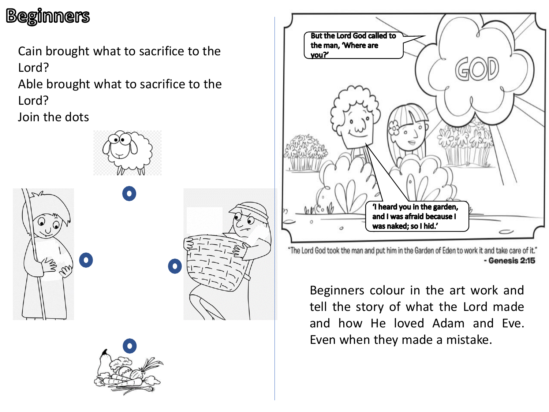## **Beginners**

Cain brought what to sacrifice to the Lord?

Able brought what to sacrifice to the Lord?

Join the dots







"The Lord God took the man and put him in the Garden of Eden to work it and take care of it." - Genesis 2:15

Beginners colour in the art work and tell the story of what the Lord made and how He loved Adam and Eve. Even when they made a mistake.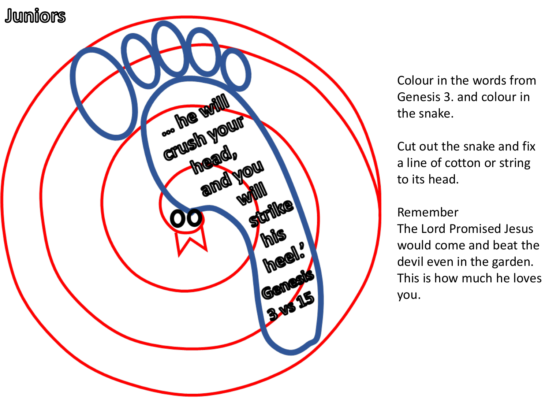

Colour in the words from Genesis 3. and colour in the snake.

Cut out the snake and fix a line of cotton or string to its head.

Remember

The Lord Promised Jesus would come and beat the devil even in the garden. This is how much he loves you.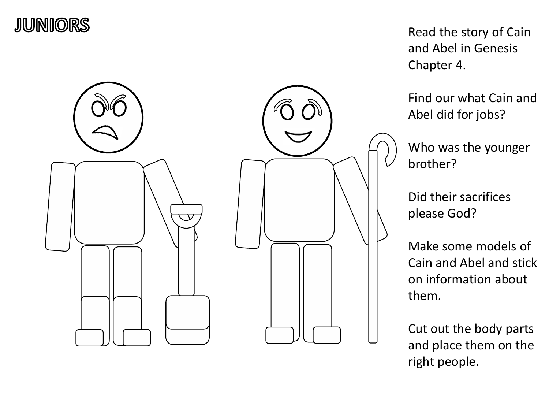



Read the story of Cain and Abel in Genesis Chapter 4.

Find our what Cain and Abel did for jobs?

Who was the younger brother?

Did their sacrifices please God?

Make some models of Cain and Abel and stick on information about them.

Cut out the body parts and place them on the right people.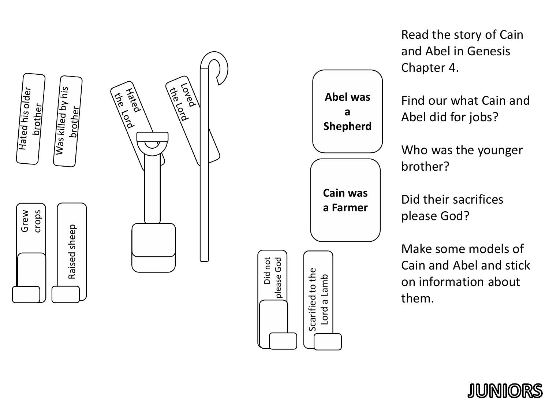

Read the story of Cain and Abel in Genesis Chapter 4. Find our what Cain and Abel did for jobs? Who was the younger brother? Did their sacrifices please God? Make some models of Cain and Abel and stick on information about them. **Cain was a Farmer Abel was a Shepherd**

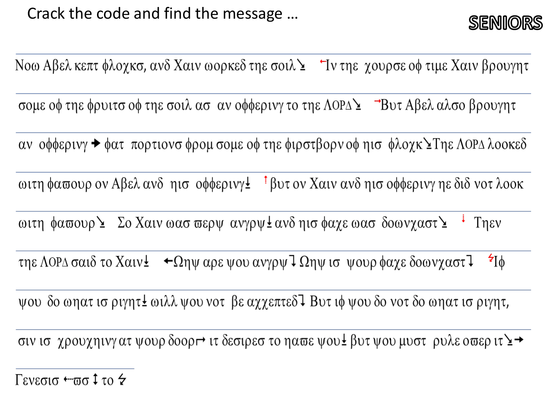

Νοω Αβελ κεπτ φλοχκσ, ανδ Χαιν ωορκεδ τηε σοιλ Σ 'τν τηε χουρσε οφ τιμε Χαιν βρουγητ

σομε οφ τηε φρυιτσ οφ τηε σοιλ ασ αν οφφερινγ το τηε ΛΟΡΔΣ - Βυτ Αβελ αλσο βρουγητ

αν οφφερινγ → φατ πορτιονσ φρομ σομε οφ τηε φιρστβορν οφ ηισ φλοχκ ΣΤηε ΛΟΡΔ λοοκεδ

ωιτη φαπουρ ον Αβελ ανδ ηισ οφφερινγ± <sup>†</sup> βυτ ον Χαιν ανδ ηισ οφφερινγ ηε διδ νοτ λοοκ

ωιτη φαστουρ Σ Σο Χαιν ωασ σερψ ανγρψ Σανδηισ φαχε ωασ δοωνχαστ Σ <sup>:</sup> Τηεν

τηε ΛΟΡΔ σαιδ το Χαιν $\pm$   $\leftrightarrow$  Ωηψ αρε ψου ανγρψ 7 Ωηψ ισ ψουρ φαχε δοωνχαστ 7  $\mathbf{z}$ [ $\phi$ ]

ψου δο ωηατ ισ ριγητ± ωιλλ ψου νοτ βε αχχεπτεδ<sup>1</sup> Βυτ ιφ ψου δο νοτ δο ωηατ ισ ριγητ,

σιν ισ χρουχηινγατ ψουρ δοορι τι δεσιρεσ το ηαπε ψου εβυτ ψου μυστ ρυλε οπερ ιτ Σ →

Γενεσισ ← πισ ‡ το &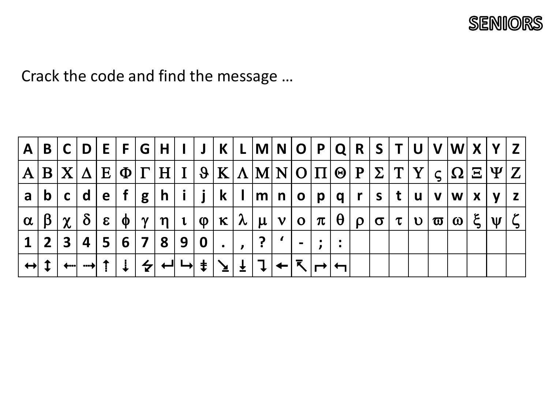

Crack the code and find the message …

|          | $A   B   C   D   E   F   G   H   I   J   K   L   M   N   O   P   Q   R   S   T   U   V   W   X   Y   Z$             |  |  |  |  |                                                                   |  |  |  |  |  |  |  |
|----------|---------------------------------------------------------------------------------------------------------------------|--|--|--|--|-------------------------------------------------------------------|--|--|--|--|--|--|--|
|          | $A B X \Delta  E \Phi \Gamma H I  \vartheta K \Lambda M N O \Pi \Theta P \Sigma \Upsilon Y \zeta \Omega \Xi \Psi Z$ |  |  |  |  |                                                                   |  |  |  |  |  |  |  |
| a        | b c d e f g                                                                                                         |  |  |  |  | h   i   j   k   l  m  n   o   p   q   r   s   t   u   v  w  x   y |  |  |  |  |  |  |  |
| $\alpha$ | $ \beta \chi \delta $ ε                                                                                             |  |  |  |  | $\phi$   γ  η  ι  φ  κ  λ  μ  ν  ο  π  θ  ρ  σ  τ  υ  σ  ω  ξ  ψ  |  |  |  |  |  |  |  |
|          | $1 2 3 4 5 6 7 8 9 0 $ .                                                                                            |  |  |  |  | 2                                                                 |  |  |  |  |  |  |  |
|          | ↔ ↨ │ ←┈│ ┈┾│ ⇡ │ ↓ │ 令│ ←╜ └>│ ⇟ │ ↘│ ± │ ↴ │←│ ↸ │┌→│                                                             |  |  |  |  |                                                                   |  |  |  |  |  |  |  |